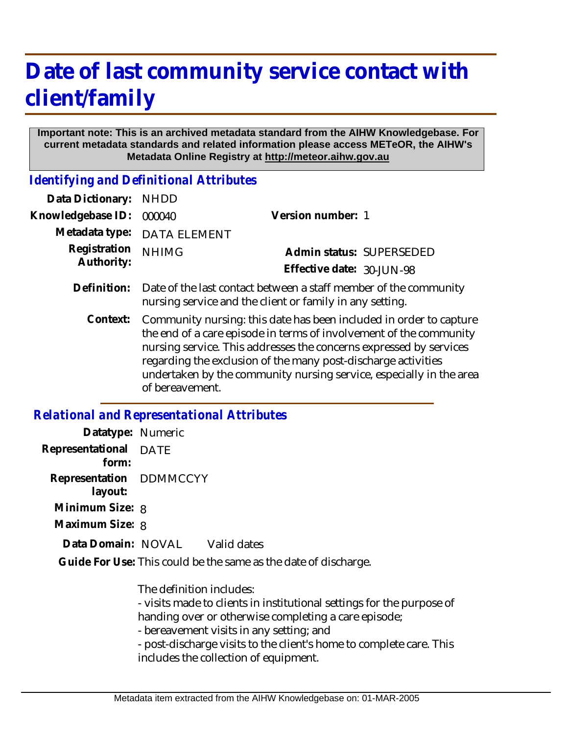## **Date of last community service contact with client/family**

## **Important note: This is an archived metadata standard from the AIHW Knowledgebase. For current metadata standards and related information please access METeOR, the AIHW's Metadata Online Registry at http://meteor.aihw.gov.au**

*Identifying and Definitional Attributes*

| Data Dictionary:                             | <b>NHDD</b>                                                                                                                                                                                                                                                                                                                                                               |                           |                          |
|----------------------------------------------|---------------------------------------------------------------------------------------------------------------------------------------------------------------------------------------------------------------------------------------------------------------------------------------------------------------------------------------------------------------------------|---------------------------|--------------------------|
| Knowledgebase ID:                            | 000040                                                                                                                                                                                                                                                                                                                                                                    | Version number: 1         |                          |
| Metadata type:<br>Registration<br>Authority: | <b>DATA ELEMENT</b>                                                                                                                                                                                                                                                                                                                                                       |                           |                          |
|                                              | <b>NHIMG</b>                                                                                                                                                                                                                                                                                                                                                              |                           | Admin status: SUPERSEDED |
|                                              |                                                                                                                                                                                                                                                                                                                                                                           | Effective date: 30-JUN-98 |                          |
| Definition:                                  | Date of the last contact between a staff member of the community<br>nursing service and the client or family in any setting.                                                                                                                                                                                                                                              |                           |                          |
| Context:                                     | Community nursing: this date has been included in order to capture<br>the end of a care episode in terms of involvement of the community<br>nursing service. This addresses the concerns expressed by services<br>regarding the exclusion of the many post-discharge activities<br>undertaken by the community nursing service, especially in the area<br>of bereavement. |                           |                          |

## *Relational and Representational Attributes*

| Datatype: Numeric                  |                                                                 |
|------------------------------------|-----------------------------------------------------------------|
| Representational DATE<br>form:     |                                                                 |
| Representation DDMMCCYY<br>layout: |                                                                 |
| Minimum Size: 8                    |                                                                 |
| Maximum Size: 8                    |                                                                 |
| Data Domain: NOVAL Valid dates     |                                                                 |
|                                    | Guide For Use: This could be the same as the date of discharge. |

The definition includes:

- visits made to clients in institutional settings for the purpose of handing over or otherwise completing a care episode;

- bereavement visits in any setting; and

- post-discharge visits to the client's home to complete care. This includes the collection of equipment.